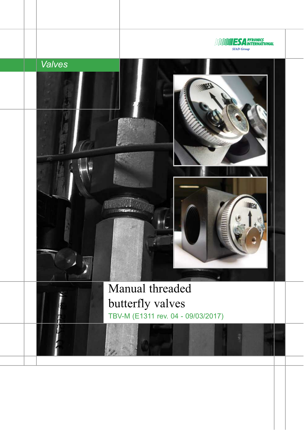





Manual threaded butterfly valves TBV-M (E1311 rev. 04 - 09/03/2017)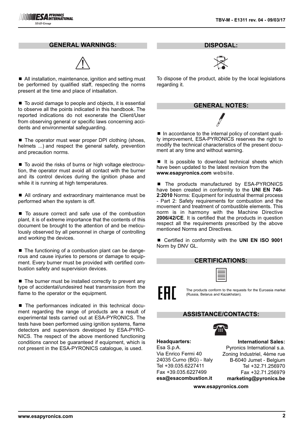#### **GENERAL WARNINGS:**



■ All installation, maintenance, ignition and setting must be performed by qualified staff, respecting the norms present at the time and place of intsallation.

■ To avoid damage to people and objects, it is essential to observe all the points indicated in this handbook. The reported indications do not exonerate the Client/User from observing general or specific laws concerning accidents and environmental safeguarding.

 $\blacksquare$  The operator must wear proper DPI clothing (shoes, helmets ...) and respect the general safety, prevention and precaution norms.

■ To avoid the risks of burns or high voltage electrocution, the operator must avoid all contact with the burner and its control devices during the ignition phase and while it is running at high temperatures.

■ All ordinary and extraordinary maintenance must be performed when the system is off.

■ To assure correct and safe use of the combustion plant, it is of extreme importance that the contents of this document be brought to the attention of and be meticulously observed by all personnel in charge of controlling and working the devices.

■ The functioning of a combustion plant can be dangerous and cause injuries to persons or damage to equipment. Every burner must be provided with certified combustion safety and supervision devices.

 $\blacksquare$  The burner must be installed correctly to prevent any type of accidental/undesired heat transmission from the flame to the operator or the equipment.

■ The performances indicated in this technical document regarding the range of products are a result of experimental tests carried out at ESA-PYRONICS. The tests have been performed using ignition systems, flame detectors and supervisors developed by ESA-PYRO-NICS. The respect of the above mentioned functioning conditions cannot be guaranteed if equipment, which is not present in the ESA-PYRONICS catalogue, is used.

**DISPOSAL:**



To dispose of the product, abide by the local legislations regarding it.

# **GENERAL NOTES:**

■ In accordance to the internal policy of constant quality improvement, ESA-PYRONICS reserves the right to modify the technical characteristics of the present document at any time and without warning.

 $\blacksquare$  It is possible to download technical sheets which have been updated to the latest revision from the **www.esapyronics.com** website.

■ The products manufactured by ESA-PYRONICS have been created in conformity to the **UNI EN 746- 2:2010** Norms: Equipment for industrial thermal process - Part 2: Safety requirements for combustion and the movement and treatment of combustible elements. This norm is in harmony with the Machine Directive **2006/42/CE**. It is certified that the products in question respect all the requirements prescribed by the above mentioned Norms and Directives.

■ Certified in conformity with the **UNI EN ISO 9001** Norm by DNV GL.

| ___                      |  |
|--------------------------|--|
| ______                   |  |
|                          |  |
| __                       |  |
| $\overline{\phantom{a}}$ |  |
|                          |  |
| ۰                        |  |
|                          |  |
|                          |  |
|                          |  |
|                          |  |
|                          |  |
|                          |  |
|                          |  |

The products conform to the requests for the Euroasia market (Russia, Belarus and Kazakhstan).

#### **ASSISTANCE/CONTACTS:**



**Headquarters:** Esa S.p.A. Via Enrico Fermi 40 24035 Curno (BG) - Italy Tel +39.035.6227411 Fax +39.035.6227499 **esa@esacombustion.it**

**International Sales:**

Pyronics International s.a. Zoning Industriel, 4ème rue B-6040 Jumet - Belgium Tel +32.71.256970 Fax +32.71.256979 **marketing@pyronics.be**

**www.esapyronics.com**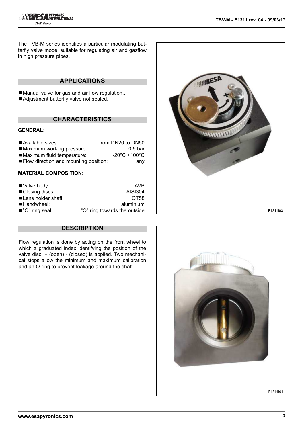

The TVB-M series identifies a particular modulating butterfly valve model suitable for regulating air and gasflow in high pressure pipes.

## **APPLICATIONS**

■ Manual valve for gas and air flow regulation..

■ Adjustment butterfly valve not sealed.

### **CHARACTERISTICS**

#### **GENERAL:**

| Available sizes:                      | from DN20 to DN50                 |
|---------------------------------------|-----------------------------------|
| ■ Maximum working pressure:           | $0.5$ bar                         |
| ■ Maximum fluid temperature:          | $-20^{\circ}$ C +100 $^{\circ}$ C |
| Flow direction and mounting position: | any                               |

### **MATERIAL COMPOSITION:**

| ■ Valve body:             | AVP                          |
|---------------------------|------------------------------|
| ■ Closing discs:          | AISI304                      |
| Lens holder shaft:        | OT <sub>58</sub>             |
| $\blacksquare$ Handwheel: | aluminium                    |
| ■ "O" ring seal:          | "O" ring towards the outside |



### **DESCRIPTION**

Flow regulation is done by acting on the front wheel to which a graduated index identifying the position of the valve disc: + (open) - (closed) is applied. Two mechanical stops allow the minimum and maximum calibration and an O-ring to prevent leakage around the shaft.



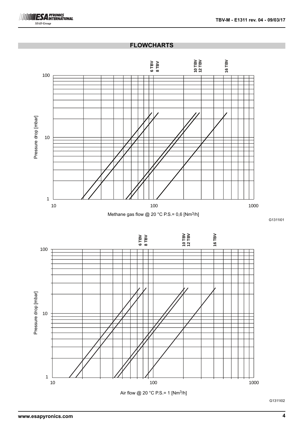

## **FLOWCHARTS**



Methane gas flow @ 20 °C P.S.= 0,6 [Nm<sup>3</sup>/h]

G1311I01



G1311I02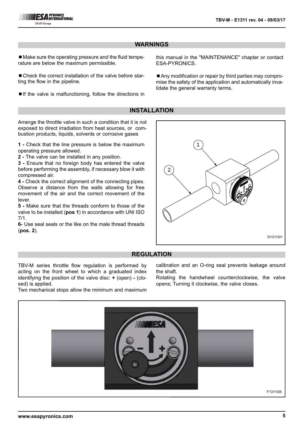

## **WARNINGS**

■ Make sure the operating pressure and the fluid temperature are below the maximum permissible.

■ Check the correct installation of the valve before starting the flow in the pipeline.

 $\blacksquare$  If the valve is malfunctioning, follow the directions in

this manual in the "MAINTENANCE" chapter or contact ESA-PYRONICS.

■ Any modification or repair by third parties may compromise the safety of the application and automatically invalidate the general warranty terms.

### **INSTALLATION**

Arrange the throttle valve in such a condition that it is not exposed to direct irradiation from heat sources, or combustion products, liquids, solvents or corrosive gases

**1 -** Check that the line pressure is below the maximum operating pressure allowed.

**2 -** The valve can be installed in any position.

**3 -** Ensure that no foreign body has entered the valve before performing the assembly, if necessary blow it with compressed air.

**4 -** Check the correct alignment of the connecting pipes. Observe a distance from the walls allowing for free movement of the air and the correct movement of the lever.

**5 -** Make sure that the threads conform to those of the valve to be installed (**pos 1**) in accordance with UNI ISO 7/1.

**6-** Use seal seals or the like on the male thread threads (**pos. 2**).



#### **REGULATION**

TBV-M series throttle flow regulation is performed by acting on the front wheel to which a graduated index identifying the position of the valve disc: **+** (open) **-** (closed) is applied.

Two mechanical stops allow the minimum and maximum

calibration and an O-ring seal prevents leakage around the shaft.

Rotating the handwheel counterclockwise, the valve opens; Turning it clockwise, the valve closes.

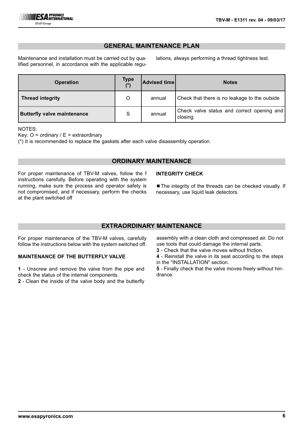## **GENERAL MAINTENANCE PLAN**

Maintenance and installation must be carried out by qualified personnel, in accordance with the applicable regulations, always performing a thread tightness test.

| <b>Operation</b>                   | <b>Type</b><br>$(*)$ | <b>Advised time</b> | <b>Notes</b>                                           |
|------------------------------------|----------------------|---------------------|--------------------------------------------------------|
| <b>Thread integrity</b>            | O                    | annual              | Check that there is no leakage to the outside          |
| <b>Butterfly valve maintenance</b> | S                    | annual              | Check valve status and correct opening and<br>closing. |

NOTES:

Key:  $O =$  ordinary  $/ \mathsf{E} =$  extraordinary

(\*) It is recommended to replace the gaskets after each valve disassembly operation.

### **ORDINARY MAINTENANCE**

For proper maintenance of TBV-M valves, follow the f instructions carefully. Before operating with the system running, make sure the process and operator safety is not compromised, and if necessary, perform the checks at the plant switched off

#### **INTEGRITY CHECK**

■ The integrity of the threads can be checked visually. If necessary, use liquid leak detectors.

## **EXTRAORDINARY MAINTENANCE**

For proper maintenance of the TBV-M valves, carefully follow the instructions below with the system switched off.

#### **MAINTENANCE OF THE BUTTERFLY VALVE**

**1** - Unscrew and remove the valve from the pipe and check the status of the internal components.

**2** - Clean the inside of the valve body and the butterfly

assembly with a clean cloth and compressed air. Do not use tools that could damage the internal parts.

- **3**  Check that the valve moves without friction.
- **4**  Reinstall the valve in its seat according to the steps in the "INSTALLATION" section.

**5** - Finally check that the valve moves freely without hindrance.